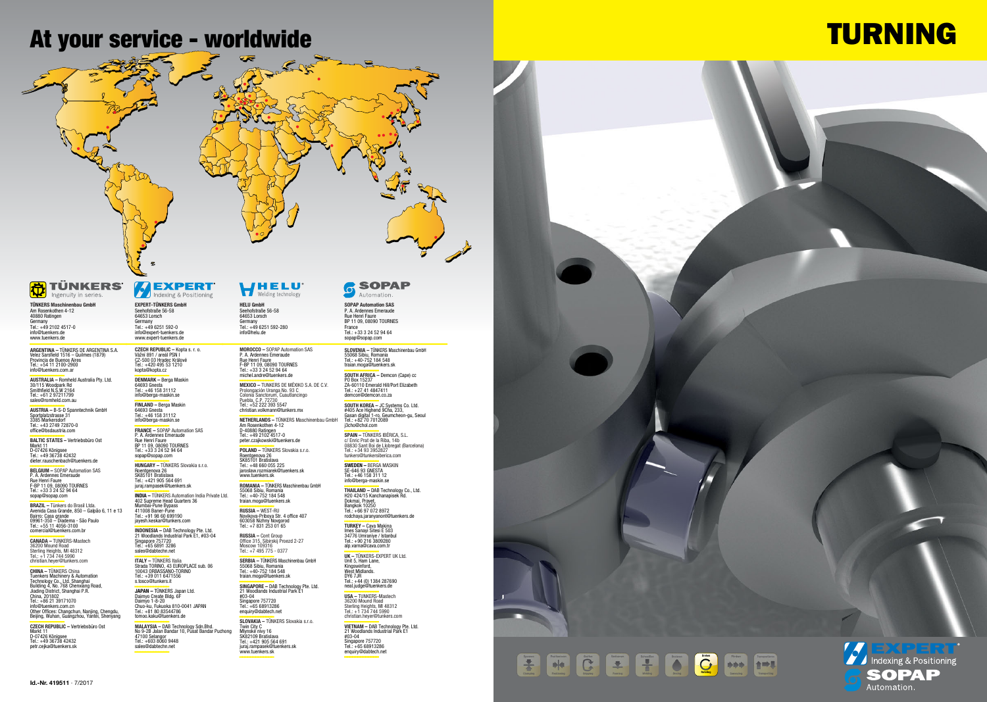**ARGENTINA –** TÜNKERS DE ARGENTINA S.A.<br>Velez Sarsfield 1516 – Quilmes (1879)<br>Provincia de Buenos Aires<br>Tel.: +54 11 2100-2900 info@tuenkers.com.ar

**––––––––––––– AUSTRALIA –** Romheld Australia Pty. Ltd. 30/115 Woodpark Rd Smithfield N.S.W 2164 Tel.: +61 2 97211799 sales@romheld.com.au

**––––––––––––– AUSTRIA –** B-S-D Spanntechnik GmbH Sportplatzstrasse 31 3385 Markersdorf Tel.: +43 2749 72870-0 office@bsdaustria.com

**––––––––––––– BALTIC STATES –** Vertriebsbüro Ost Markt 11 D-07426 Königsee Tel.: +49 36738 42432 dieter.rauschenbach@tuenkers.de

**––––––––––––– BELGIUM –** SOPAP Automation SAS P. A. Ardennes Emeraude Rue Henri Faure F-BP 11 09, 08090 TOURNES Tel.: +33 3 24 52 94 64 sopap@sopap.com

**BRAZIL –** Tünkers do Brasil Ltda.<br>Avenida Casa Grande, 850 – Galpão 6, 11 e 13<br>Bairro: Casa grande<br>09961-350 – Diadema - São Paulo<br>rol.: +55 11 4056-3100<br>comercial@tuenkers.com.br

**CZECH REPUBLIC –** Vertriebsbüro Ost<br>Markt 11<br>D-07426 Königsee<br>Tel.: +49 36738 42432 petr.cejka@tuenkers.sk

**CZECH REPUBLIC –** Kopta s. r. o.<br>Vážní 891 / areál PSN I<br>CZ-500 03 Hradec Králové<br>Tel.: +420 495 53 1210 kopta@kopta.cz

**––––––––––––– FINLAND –** Berga Maskin 64693 Gnesta Tel.: +46 158 31112 info@berga-maskin.se **FRANCE –** SOPAP Automation SAS<br>P. A. Ardennes Emeraude<br>Rue Henri Faure

**––––––––––––– CANADA –** TUNKERS-Mastech 36200 Mound Road Sterling Heights, MI 48312 Tel.: +1 734 744 5990 christian.heyer@tunkers.com

CHINA – TÜNKERS China<br>Tuenkers Machinery & Automation<br>Technology Co., Ltd. Shanghai<br>Building A, No. 768 Chenxiang Road,<br>Jiading District, Shanghai P.R.<br>China, 201802<br>Info@tuenkers.com.cn<br>Other Offices: Changchun, Nanjing,

**MALAYSIA – DA**B Technology Sdn.Bhd.<br>No 9-2B Jalan Bandar 10, Pusat Bandar Puchong<br>47100 Selangor<br>Tel.: +603 8060 9448 sales@dabtechn.net **–––––––––––––**

**––––––––––––– DENMARK –** Berga Maskin 64693 Gnesta Tel.: +46 158 31112 info@berga-maskin.se

> jaroslaw.rozmiarek@tuenkers.sl www.tuenkers.sk

BP 11 09, 08090 TOURNES Tel.: +33 3 24 52 94 64 sopap@sopap.com **––––––––––––– HUNGARY –** TÜNKERS Slovakia s.r.o.

Roentgenova 26 SK85101 Bratislava Tel.: +421 905 564 691 juraj.rampasek@tuenkers.sk

**––––––––––––– INDIA –** TÜNKERS Automation India Private Ltd. 402 Supreme Head Quarters 36 Mumbai-Pune Bypass 411008 Baner-Pune Tel.: +91 98 60 699190 jayesh.keskar@tunkers.com

-<br>**INDONESIA – DA**B Technology Pte. Ltd.<br>21 Woodlands Industrial Park E1, #03-04<br>Singapore 757720<br>Tel.: +65 6891 3286 sales@dabtechn.net

**ITALY –** TÜNKERS Italia<br>Strada TORINO, 43 EUROPLACE sub. 06<br>10043 ORBASSANO-TORINO<br>Tel.: +39 011 6471556<br>s.tosco@tunkers.it

**–<br><b>SOUTH AFRICA –** Demcon (Cape) cc<br>PO Box 15237<br>ZA-60110 Emerald Hill/Port Elizabeth<br>Tel.: +27 41 4847411 demcon@demcon.co.za

**–<br>4405 Ace Highend 9Cha, 233, Packland Back**<br>Gasan digital 1-ro, Geumcheon-gu, Seoul Tel.: +82 70 7012089 j3cho@chol.com

**-**<br>**SPAIN –** TÜNKERS IBÉRICA, S.L.<br>c/ Enric Prat de la Riba, 14b 08830 Sant Boi de Llobregat (Barcelona) Tel.: +34 93 3952827 tunkers@tunkersiberica.com

**THAILAND – DAB** Technology Co., Ltd.<br>H20 424/15 Kanchanapisek Rd.<br>Dokmai, Pravet,<br>Bangkok 10250<br>Tel.: +66 97 072 8972 rodchaya.jaranyanont@tuenkers.de

**––––––––––––– TURKEY –** Cava Makina Imes Sanayi Sitesi E 503 34776 Umraniye / Istanbul Tel.: +90 216 3809280 alp.varna@cava.com.tr

**––––––––––––– JAPAN –** TÜNKERS Japan Ltd. Daimyo Create Bldg. 6F Daimyo 1-8-20 Chuo-ku, Fukuoka 810-0041 JAPAN Tel.: +81 80 83544786 tomoo.kaku@tuenkers.de

**USA – T**UNKERS-Mastech<br>36200 Mound Road<br>Sterling Heights, MI 48312<br>Tel.: +1 734 744 5990 christian.heyer@tunkers.com

**VIETNAM – DAB T**echnology Pte. Ltd.<br>21 Woodlands Industrial Park E1<br>#03-04<br>Singapore 757720

**EXPERT-TÜNKERS GmbH** Seehofstraße 56-58 64653 Lorsch Germany Tel.: +49 6251 592-0 info@expert-tuenkers.de www.expert-tuenkers.de

> **––––––––––––– MEXICO –** TUNKERS DE MÉXIKO S.A. DE C.V. Prolongación Uranga No. 93 C Colonia Sanctorum, Cuautlancingo Puebla, C.P. 72730 Tel.: +52 222 393 5547

christian.volkmann@tunkers.mx **––––––––––––– NETHERLANDS –** TÜNKERS Maschinenbau GmbH Am Rosenkothen 4-12 D-40880 Ratingen Tel.: +49 2102 4517-0

peter.czajkowski@tuenkers.de **––––––––––––– POLAND –** TÜNKERS Slovakia s.r.o. Roentgenova 26 SK85101 Bratislava Tel.: +48 660 055 225

**––––––––––––– ROMANIA –** TÜNKERS Maschinenbau GmbH 55068 Sibiu, Romania Tel.: +40-752 184 548 traian.moga@tuenkers.sk **––––––––––––– RUSSIA –** WEST-RU Novikova-Priboya Str. 4 office 407

603058 Nizhny Novgorod Tel.: +7 831 253 01 65

**RUSSIA –** Cont Group Office 315, Sibirskij Proezd 2-27 Moscow 109316 Tel.: +7 495 775 - 0377

**––––––––––––– SERBIA –** TÜNKERS Maschinenbau GmbH 55068 Sibiu, Romania Tel.: +40-752 184 548 traian.moga@tuenkers.sk **––––––––––––– SINGAPORE –** DAB Technology Pte. Ltd. 21 Woodlands Industrial Park E1 #03-04 Singapore 757720 Tel.: +65 68913286

enquiry@dabtech.net **––––––––––––– SLOVAKIA –** TÜNKERS Slovakia s.r.o. Twin City C Mlynské nivy 16 SK82109 Bratislava

Tel.: +421 905 564 691 juraj.rampasek@tuenkers.sk www.tuenkers.sk **–––––––––––––**

#### **SOPAP** 6

**––––––––––––– SWEDEN –** BERGA MASKIN SE-646 93 GNESTA Tel.: +46 158 311 12 info@berga-maskin.se

**––––––––––––– UK –** TÜNKERS-EXPERT UK Ltd. Unit 5, Ham Lane, Kingswinford, West Midlands.

DY6 7JR Tel.: +44 (0) 1384 287690 neal.judge@tuenkers.de

Tel.: +65 68913286 enquiry@dabtech.net **–––––––––––––**



## **At your service - worldwide**

## **TÜNKERS**

**––––––––––––– TÜNKERS Maschinenbau GmbH**<br>Am Rosenkothen 4-12<br>40880 Ratingen Germany Tel.: +49 2102 4517-0 info@tuenkers.de www.tuenkers.de

**HELU GmbH** Seehofstraße 56-58 64653 Lorsch Germany Tel.: +49 6251 592-280 info@helu.de

**MOROCCO –** SOPAP Automation SAS<br>P. A. Ardennes Emeraude<br>Rue Henri Faure<br>F-BP 11 09, 08090 TOURNES<br>Tel.: +33 3 24 52 94 64 michel.andre@tuenkers.de

**SOPAP Automation SAS** P. A. Ardennes Emeraude Rue Henri Faure BP 11 09, 08090 TOURNES France Tel.: +33 3 24 52 94 64 sopap@sopap.com

**SLOVENIA –** TÜNKERS Maschinenbau GmbH<br>55068 Sibiu, Romania<br>Tel.: +40-752 184 548<br>traian.moga@tuenkers.sk

# **TURNING**



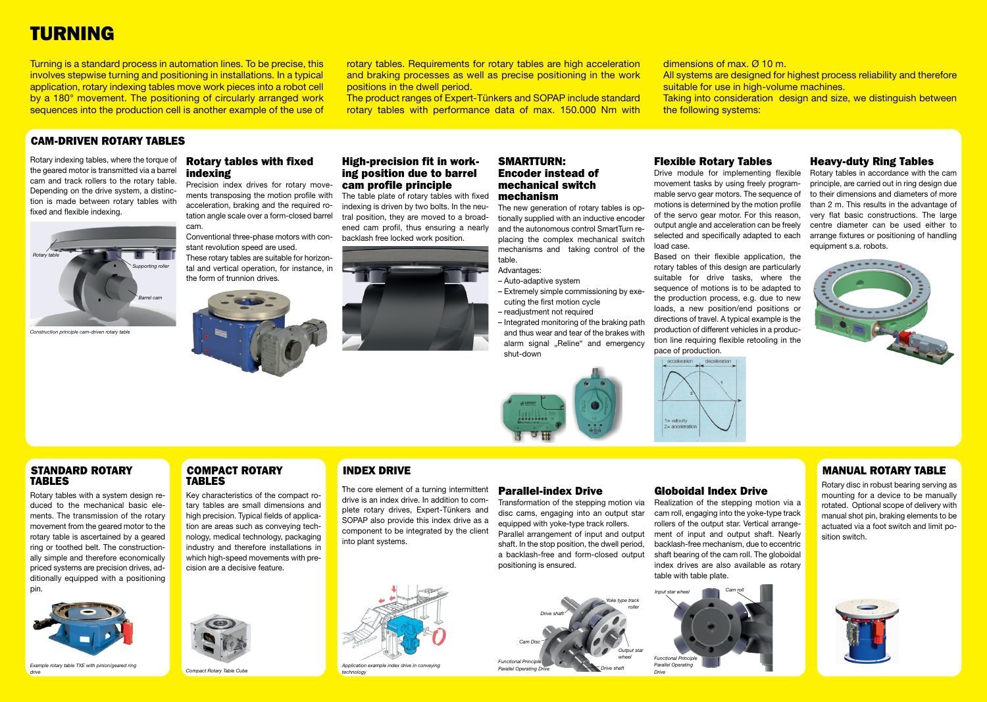## **TURNING**

#### **STANDARD ROTARY TABLES**

Rotary tables with a system design reduced to the mechanical basic elements. The transmission of the rotary movement from the geared motor to the rotary table is ascertained by a geared ring or toothed belt. The constructionally simple and therefore economically priced systems are precision drives, additionally equipped with a positioning pin.

Turning is a standard process in automation lines. To be precise, this involves stepwise turning and positioning in installations. In a typical application, rotary indexing tables move work pieces into a robot cell by a 180° movement. The positioning of circularly arranged work sequences into the production cell is another example of the use of



*Example rotary table TXE with pinion/geared ring drive*

#### **COMPACT ROTARY TABLES**

Key characteristics of the compact rotary tables are small dimensions and high precision. Typical fields of application are areas such as conveying technology, medical technology, packaging industry and therefore installations in which high-speed movements with precision are a decisive feature.

All systems are designed for highest process reliability and therefore suitable for use in high-volume machines.

rotary tables. Requirements for rotary tables are high acceleration and braking processes as well as precise positioning in the work positions in the dwell period.

The product ranges of Expert-Tünkers and SOPAP include standard rotary tables with performance data of max. 150.000 Nm with

dimensions of max. Ø 10 m. the following systems:

Taking into consideration design and size, we distinguish between

#### **CAM-DRIVEN ROTARY TABLES**

Rotary indexing tables, where the torque of the geared motor is transmitted via a barrel cam and track rollers to the rotary table. Depending on the drive system, a distinction is made between rotary tables with fixed and flexible indexing.

#### **Rotary tables with fixed indexing**

Precision index drives for rotary movements transposing the motion profile with acceleration, braking and the required rotation angle scale over a form-closed barrel cam.

Conventional three-phase motors with constant revolution speed are used.

These rotary tables are suitable for horizontal and vertical operation, for instance, in the form of trunnion drives.



#### **High-precision fit in working position due to barrel cam profile principle**

The table plate of rotary tables with fixed indexing is driven by two bolts. In the neutral position, they are moved to a broadened cam profil, thus ensuring a nearly backlash free locked work position.



#### **SMARTTURN: Encoder instead of mechanical switch mechanism**

The new generation of rotary tables is optionally supplied with an inductive encoder and the autonomous control SmartTurn replacing the complex mechanical switch mechanisms and taking control of the table.

*Functional Principle*  **Parallel Operating** 

#### Advantages:

- Auto-adaptive system
- Extremely simple commissioning by executing the first motion cycle
- readjustment not required
- Integrated monitoring of the braking path and thus wear and tear of the brakes with alarm signal "Reline" and emergency shut-down



#### **Flexible Rotary Tables**

Drive module for implementing flexible movement tasks by using freely programmable servo gear motors. The sequence of motions is determined by the motion profile of the servo gear motor. For this reason, output angle and acceleration can be freely selected and specifically adapted to each load case.

Based on their flexible application, the rotary tables of this design are particularly suitable for drive tasks, where the sequence of motions is to be adapted to the production process, e.g. due to new loads, a new position/end positions or directions of travel. A typical example is the production of different vehicles in a production line requiring flexible retooling in the pace of production.





#### **Heavy-duty Ring Tables**

Rotary tables in accordance with the cam principle, are carried out in ring design due to their dimensions and diameters of more than 2 m. This results in the advantage of very flat basic constructions. The large centre diameter can be used either to arrange fixtures or positioning of handling equipment s.a. robots.





#### **INDEX DRIVE**

#### **MANUAL ROTARY TABLE**

Rotary disc in robust bearing serving as mounting for a device to be manually rotated. Optional scope of delivery with manual shot pin, braking elements to be actuated via a foot switch and limit position switch.





*Compact Rotary Table Cube*

. The core element of a turning intermittent drive is an index drive. In addition to complete rotary drives, Expert-Tünkers and SOPAP also provide this index drive as a component to be integrated by the client into plant systems.



*Application example index drive in conveying technology*

#### **Parallel-index Drive**



*Construction principle cam-driven rotary table*

Transformation of the stepping motion via disc cams, engaging into an output star equipped with yoke-type track rollers. Parallel arrangement of input and output shaft. In the stop position, the dwell period, a backlash-free and form-closed output positioning is ensured.

#### **Globoidal Index Drive**

Realization of the stepping motion via a cam roll, engaging into the yoke-type track rollers of the output star. Vertical arrangement of input and output shaft. Nearly backlash-free mechanism, due to eccentric shaft bearing of the cam roll. The globoidal index drives are also available as rotary table with table plate.

*Drive shaft*

*Yoke type track roller*

> *Output star wheel*

*Drive shaft*

*Cam Disc*



*Parallel Operating Drive*